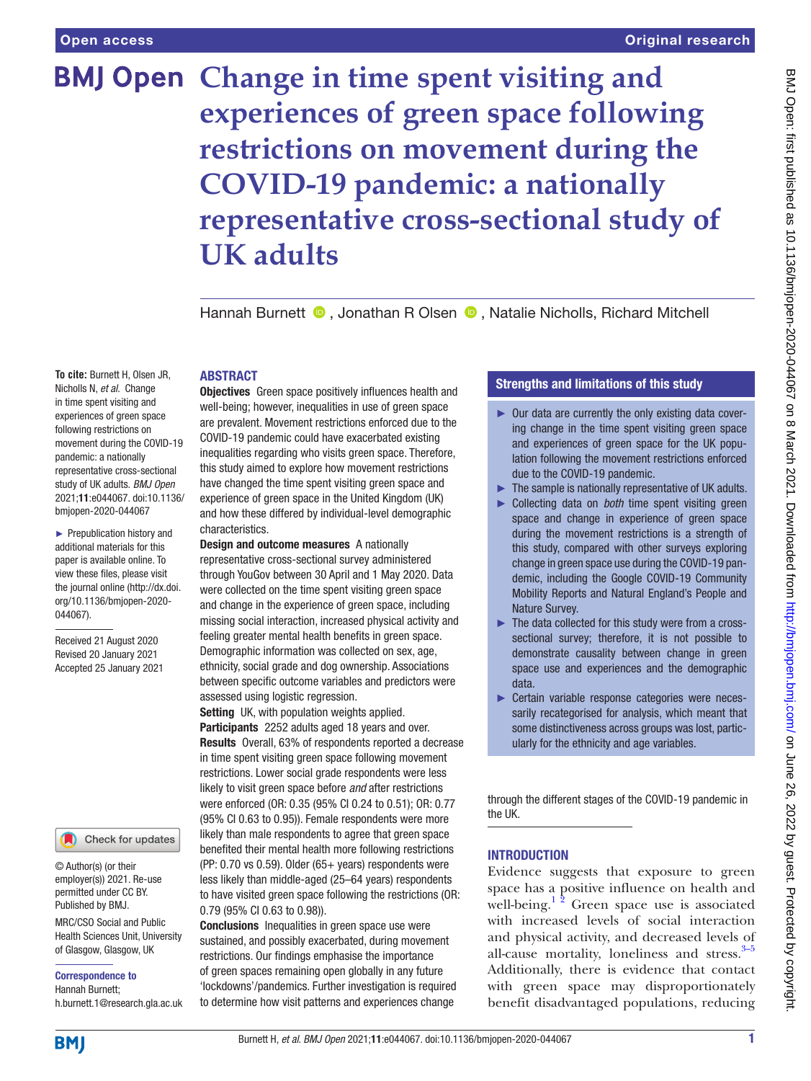# **BMJ Open Change in time spent visiting and experiences of green space following restrictions on movement during the COVID-19 pandemic: a nationally representative cross-sectional study of UK adults**

Hannah Burnett  $\bullet$ , Jonathan R Olsen  $\bullet$ , Natalie Nicholls, Richard Mitchell

## ABSTRACT

**To cite:** Burnett H, Olsen JR, Nicholls N, *et al*. Change in time spent visiting and experiences of green space following restrictions on movement during the COVID-19 pandemic: a nationally representative cross-sectional study of UK adults. *BMJ Open* 2021;11:e044067. doi:10.1136/ bmjopen-2020-044067

► Prepublication history and additional materials for this paper is available online. To view these files, please visit the journal online (http://dx.doi. org/10.1136/bmjopen-2020- 044067).

Received 21 August 2020 Revised 20 January 2021 Accepted 25 January 2021

#### Check for updates

© Author(s) (or their employer(s)) 2021. Re-use permitted under CC BY. Published by BMJ.

MRC/CSO Social and Public Health Sciences Unit, University of Glasgow, Glasgow, UK

Correspondence to Hannah Burnett; h.burnett.1@research.gla.ac.uk

**Objectives** Green space positively influences health and well-being; however, inequalities in use of green space are prevalent. Movement restrictions enforced due to the COVID-19 pandemic could have exacerbated existing inequalities regarding who visits green space. Therefore, this study aimed to explore how movement restrictions have changed the time spent visiting green space and experience of green space in the United Kingdom (UK) and how these differed by individual-level demographic characteristics.

Design and outcome measures A nationally representative cross-sectional survey administered through YouGov between 30 April and 1 May 2020. Data were collected on the time spent visiting green space and change in the experience of green space, including missing social interaction, increased physical activity and feeling greater mental health benefits in green space. Demographic information was collected on sex, age, ethnicity, social grade and dog ownership. Associations between specific outcome variables and predictors were assessed using logistic regression.

Setting UK, with population weights applied. Participants 2252 adults aged 18 years and over. Results Overall, 63% of respondents reported a decrease in time spent visiting green space following movement restrictions. Lower social grade respondents were less likely to visit green space before *and* after restrictions were enforced (OR: 0.35 (95% CI 0.24 to 0.51); OR: 0.77 (95% CI 0.63 to 0.95)). Female respondents were more likely than male respondents to agree that green space benefited their mental health more following restrictions (PP: 0.70 vs 0.59). Older (65+ years) respondents were less likely than middle-aged (25–64 years) respondents to have visited green space following the restrictions (OR: 0.79 (95% CI 0.63 to 0.98)).

Conclusions Inequalities in green space use were sustained, and possibly exacerbated, during movement restrictions. Our findings emphasise the importance of green spaces remaining open globally in any future 'lockdowns'/pandemics. Further investigation is required to determine how visit patterns and experiences change

## Strengths and limitations of this study

- ► Our data are currently the only existing data covering change in the time spent visiting green space and experiences of green space for the UK population following the movement restrictions enforced due to the COVID-19 pandemic.
- ► The sample is nationally representative of UK adults.
- ► Collecting data on *both* time spent visiting green space and change in experience of green space during the movement restrictions is a strength of this study, compared with other surveys exploring change in green space use during the COVID-19 pandemic, including the Google COVID-19 Community Mobility Reports and Natural England's People and Nature Survey.
- ► The data collected for this study were from a crosssectional survey; therefore, it is not possible to demonstrate causality between change in green space use and experiences and the demographic data.
- ► Certain variable response categories were necessarily recategorised for analysis, which meant that some distinctiveness across groups was lost, particularly for the ethnicity and age variables.

through the different stages of the COVID-19 pandemic in the UK.

## INTRODUCTION

Evidence suggests that exposure to green space has a positive influence on health and well-being.<sup>12</sup> Green space use is associated with increased levels of social interaction and physical activity, and decreased levels of all-cause mortality, loneliness and stress.<sup>3-5</sup> Additionally, there is evidence that contact with green space may disproportionately benefit disadvantaged populations, reducing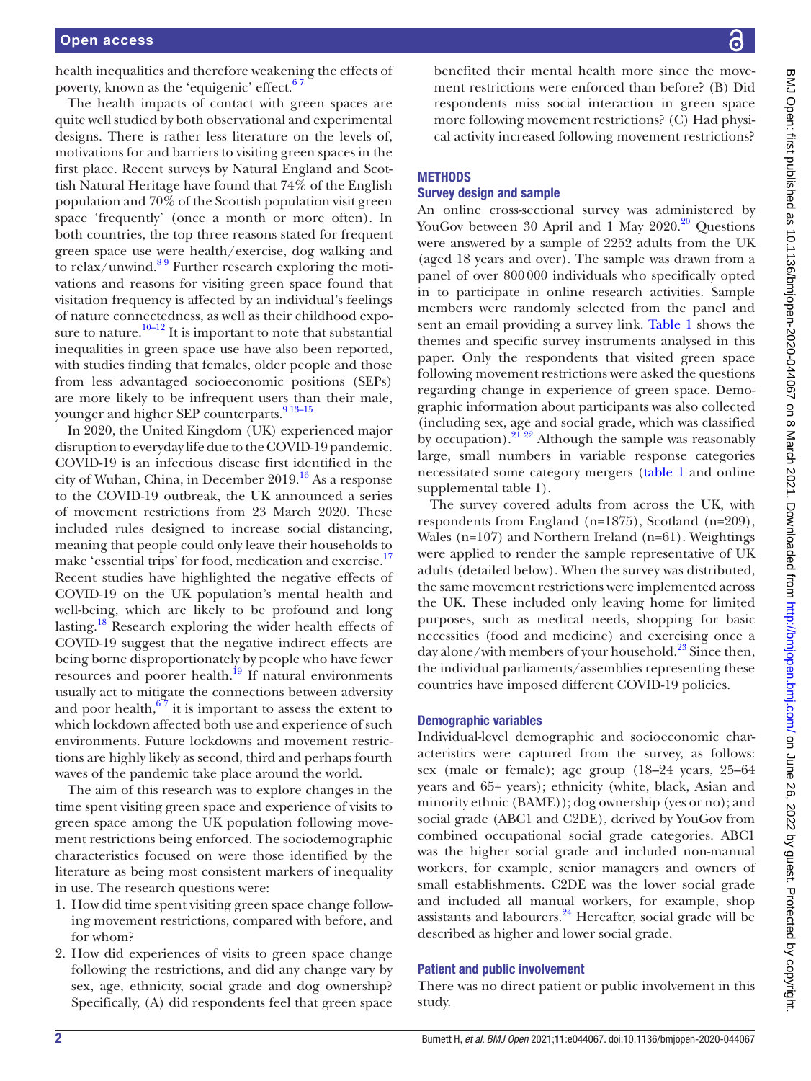health inequalities and therefore weakening the effects of poverty, known as the 'equigenic' effect.<sup>67</sup>

The health impacts of contact with green spaces are quite well studied by both observational and experimental designs. There is rather less literature on the levels of, motivations for and barriers to visiting green spaces in the first place. Recent surveys by Natural England and Scottish Natural Heritage have found that 74% of the English population and 70% of the Scottish population visit green space 'frequently' (once a month or more often). In both countries, the top three reasons stated for frequent green space use were health/exercise, dog walking and to relax/unwind. $89$  Further research exploring the motivations and reasons for visiting green space found that visitation frequency is affected by an individual's feelings of nature connectedness, as well as their childhood expo-sure to nature.<sup>[10–12](#page-8-4)</sup> It is important to note that substantial inequalities in green space use have also been reported, with studies finding that females, older people and those from less advantaged socioeconomic positions (SEPs) are more likely to be infrequent users than their male, younger and higher SEP counterparts.<sup>9 13-15</sup>

In 2020, the United Kingdom (UK) experienced major disruption to everyday life due to the COVID-19 pandemic. COVID-19 is an infectious disease first identified in the city of Wuhan, China, in December  $2019<sup>16</sup>$  As a response to the COVID-19 outbreak, the UK announced a series of movement restrictions from 23 March 2020. These included rules designed to increase social distancing, meaning that people could only leave their households to make 'essential trips' for food, medication and exercise.<sup>17</sup> Recent studies have highlighted the negative effects of COVID-19 on the UK population's mental health and well-being, which are likely to be profound and long lasting.<sup>[18](#page-8-8)</sup> Research exploring the wider health effects of COVID-19 suggest that the negative indirect effects are being borne disproportionately by people who have fewer resources and poorer health.<sup>19</sup> If natural environments usually act to mitigate the connections between adversity and poor health, $67$  it is important to assess the extent to which lockdown affected both use and experience of such environments. Future lockdowns and movement restrictions are highly likely as second, third and perhaps fourth waves of the pandemic take place around the world.

The aim of this research was to explore changes in the time spent visiting green space and experience of visits to green space among the UK population following movement restrictions being enforced. The sociodemographic characteristics focused on were those identified by the literature as being most consistent markers of inequality in use. The research questions were:

- 1. How did time spent visiting green space change following movement restrictions, compared with before, and for whom?
- 2. How did experiences of visits to green space change following the restrictions, and did any change vary by sex, age, ethnicity, social grade and dog ownership? Specifically, (A) did respondents feel that green space

benefited their mental health more since the movement restrictions were enforced than before? (B) Did respondents miss social interaction in green space more following movement restrictions? (C) Had physical activity increased following movement restrictions?

## **METHODS**

## Survey design and sample

An online cross-sectional survey was administered by YouGov between 30 April and 1 May  $2020.^{20}$  $2020.^{20}$  Questions were answered by a sample of 2252 adults from the UK (aged 18 years and over). The sample was drawn from a panel of over 800000 individuals who specifically opted in to participate in online research activities. Sample members were randomly selected from the panel and sent an email providing a survey link. [Table](#page-2-0) 1 shows the themes and specific survey instruments analysed in this paper. Only the respondents that visited green space following movement restrictions were asked the questions regarding change in experience of green space. Demographic information about participants was also collected (including sex, age and social grade, which was classified by occupation). $21^{22}$  Although the sample was reasonably large, small numbers in variable response categories necessitated some category mergers ([table](#page-2-0) 1 and [online](https://dx.doi.org/10.1136/bmjopen-2020-044067)  [supplemental table 1\)](https://dx.doi.org/10.1136/bmjopen-2020-044067).

The survey covered adults from across the UK, with respondents from England (n=1875), Scotland (n=209), Wales (n=107) and Northern Ireland (n=61). Weightings were applied to render the sample representative of UK adults (detailed below). When the survey was distributed, the same movement restrictions were implemented across the UK. These included only leaving home for limited purposes, such as medical needs, shopping for basic necessities (food and medicine) and exercising once a day alone/with members of your household.<sup>[23](#page-8-12)</sup> Since then, the individual parliaments/assemblies representing these countries have imposed different COVID-19 policies.

## Demographic variables

Individual-level demographic and socioeconomic characteristics were captured from the survey, as follows: sex (male or female); age group (18–24 years, 25–64 years and 65+ years); ethnicity (white, black, Asian and minority ethnic (BAME)); dog ownership (yes or no); and social grade (ABC1 and C2DE), derived by YouGov from combined occupational social grade categories. ABC1 was the higher social grade and included non-manual workers, for example, senior managers and owners of small establishments. C2DE was the lower social grade and included all manual workers, for example, shop assistants and labourers. $^{24}$  Hereafter, social grade will be described as higher and lower social grade.

#### Patient and public involvement

There was no direct patient or public involvement in this study.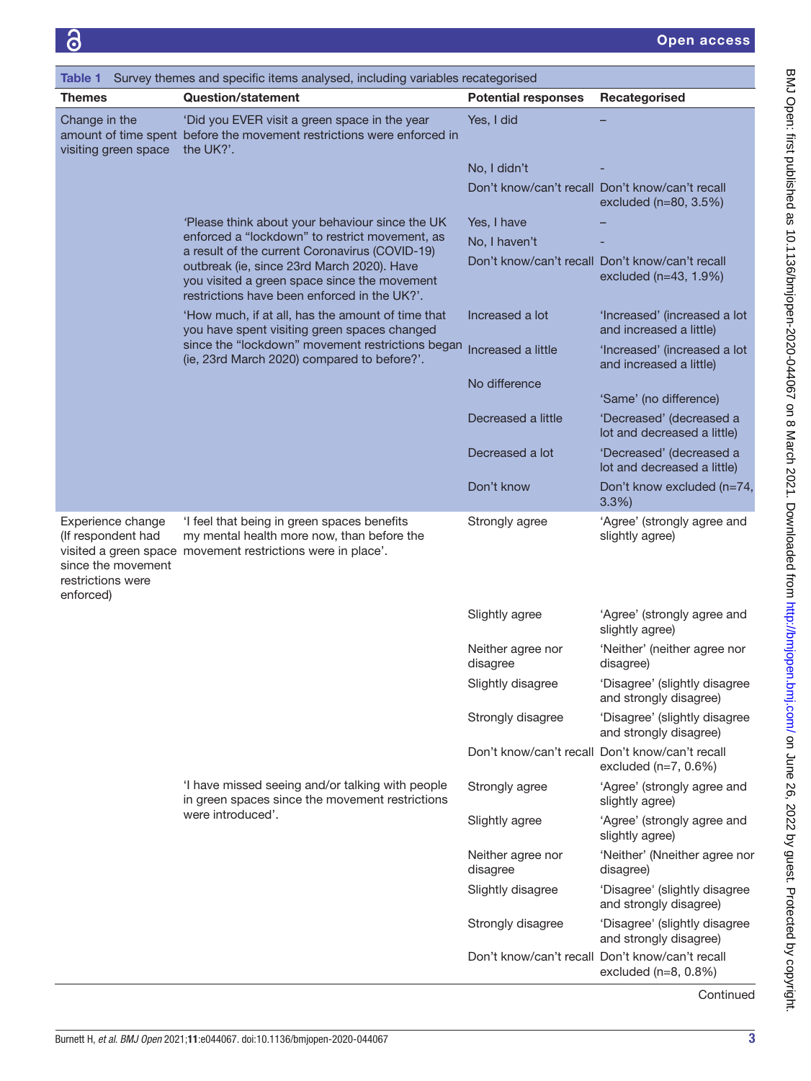<span id="page-2-0"></span>

| Table 1                                                                                         | Survey themes and specific items analysed, including variables recategorised                                                                             |                               |                                                                                 |  |  |  |  |  |
|-------------------------------------------------------------------------------------------------|----------------------------------------------------------------------------------------------------------------------------------------------------------|-------------------------------|---------------------------------------------------------------------------------|--|--|--|--|--|
| <b>Themes</b>                                                                                   | <b>Question/statement</b>                                                                                                                                | <b>Potential responses</b>    | Recategorised                                                                   |  |  |  |  |  |
| Change in the<br>visiting green space                                                           | 'Did you EVER visit a green space in the year<br>amount of time spent before the movement restrictions were enforced in<br>the UK?'.                     | Yes, I did                    |                                                                                 |  |  |  |  |  |
|                                                                                                 |                                                                                                                                                          | No, I didn't                  |                                                                                 |  |  |  |  |  |
|                                                                                                 |                                                                                                                                                          |                               | Don't know/can't recall Don't know/can't recall<br>excluded (n=80, 3.5%)        |  |  |  |  |  |
|                                                                                                 | 'Please think about your behaviour since the UK                                                                                                          | Yes, I have                   |                                                                                 |  |  |  |  |  |
|                                                                                                 | enforced a "lockdown" to restrict movement, as<br>a result of the current Coronavirus (COVID-19)                                                         | No, I haven't                 |                                                                                 |  |  |  |  |  |
|                                                                                                 | outbreak (ie, since 23rd March 2020). Have<br>you visited a green space since the movement<br>restrictions have been enforced in the UK?'.               |                               | Don't know/can't recall Don't know/can't recall<br>excluded (n=43, 1.9%)        |  |  |  |  |  |
|                                                                                                 | 'How much, if at all, has the amount of time that<br>you have spent visiting green spaces changed                                                        | Increased a lot               | 'Increased' (increased a lot<br>and increased a little)                         |  |  |  |  |  |
|                                                                                                 | since the "lockdown" movement restrictions began<br>(ie, 23rd March 2020) compared to before?'.                                                          | Increased a little            | 'Increased' (increased a lot<br>and increased a little)                         |  |  |  |  |  |
|                                                                                                 |                                                                                                                                                          | No difference                 | 'Same' (no difference)                                                          |  |  |  |  |  |
|                                                                                                 |                                                                                                                                                          | Decreased a little            | 'Decreased' (decreased a<br>lot and decreased a little)                         |  |  |  |  |  |
|                                                                                                 |                                                                                                                                                          | Decreased a lot               | 'Decreased' (decreased a<br>lot and decreased a little)                         |  |  |  |  |  |
|                                                                                                 |                                                                                                                                                          | Don't know                    | Don't know excluded (n=74,<br>3.3%                                              |  |  |  |  |  |
| Experience change<br>(If respondent had<br>since the movement<br>restrictions were<br>enforced) | 'I feel that being in green spaces benefits<br>my mental health more now, than before the<br>visited a green space movement restrictions were in place'. | Strongly agree                | 'Agree' (strongly agree and<br>slightly agree)                                  |  |  |  |  |  |
|                                                                                                 |                                                                                                                                                          | Slightly agree                | 'Agree' (strongly agree and<br>slightly agree)                                  |  |  |  |  |  |
|                                                                                                 |                                                                                                                                                          | Neither agree nor<br>disagree | 'Neither' (neither agree nor<br>disagree)                                       |  |  |  |  |  |
|                                                                                                 |                                                                                                                                                          | Slightly disagree             | 'Disagree' (slightly disagree<br>and strongly disagree)                         |  |  |  |  |  |
|                                                                                                 |                                                                                                                                                          | Strongly disagree             | 'Disagree' (slightly disagree<br>and strongly disagree)                         |  |  |  |  |  |
|                                                                                                 |                                                                                                                                                          |                               | Don't know/can't recall Don't know/can't recall<br>excluded $(n=7, 0.6%)$       |  |  |  |  |  |
|                                                                                                 | I have missed seeing and/or talking with people<br>in green spaces since the movement restrictions                                                       | Strongly agree                | 'Agree' (strongly agree and<br>slightly agree)                                  |  |  |  |  |  |
|                                                                                                 | were introduced'.                                                                                                                                        | Slightly agree                | 'Agree' (strongly agree and<br>slightly agree)                                  |  |  |  |  |  |
|                                                                                                 |                                                                                                                                                          | Neither agree nor<br>disagree | 'Neither' (Nneither agree nor<br>disagree)                                      |  |  |  |  |  |
|                                                                                                 |                                                                                                                                                          | Slightly disagree             | 'Disagree' (slightly disagree<br>and strongly disagree)                         |  |  |  |  |  |
|                                                                                                 |                                                                                                                                                          | Strongly disagree             | 'Disagree' (slightly disagree<br>and strongly disagree)                         |  |  |  |  |  |
|                                                                                                 |                                                                                                                                                          |                               | Don't know/can't recall Don't know/can't recall<br>excluded ( $n=8$ , $0.8\%$ ) |  |  |  |  |  |

Continued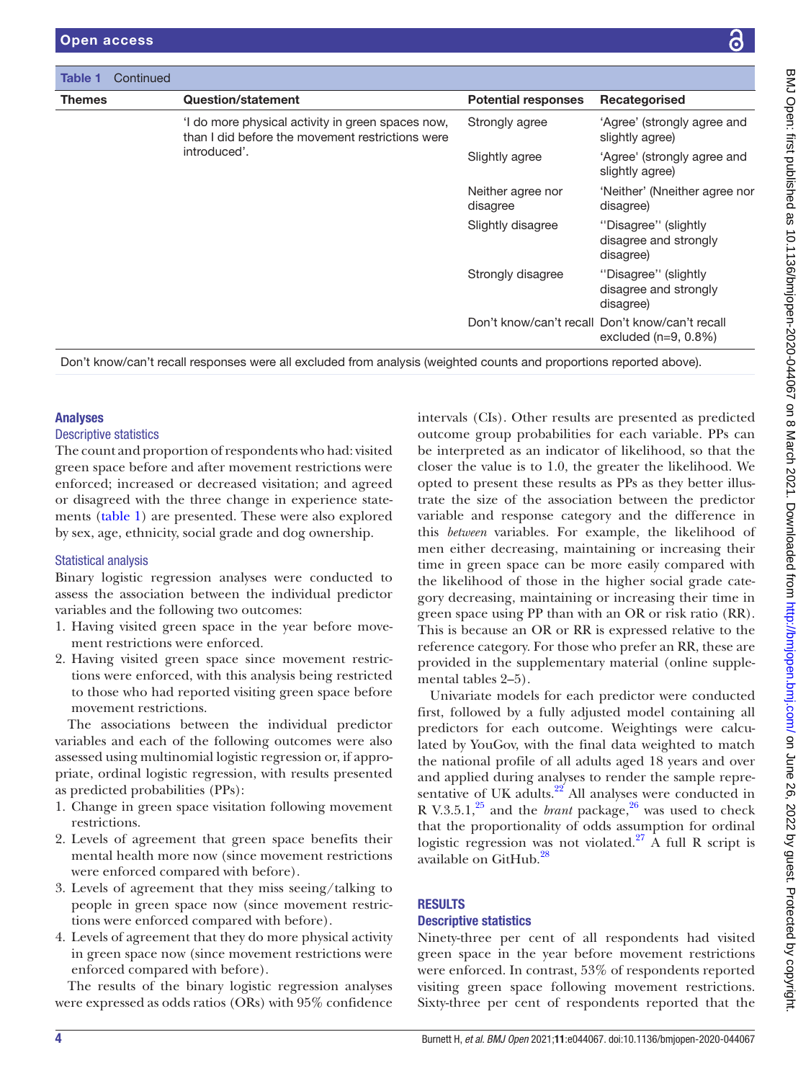| Table 1       | Continued |                                                                                                      |                               |                                                                            |
|---------------|-----------|------------------------------------------------------------------------------------------------------|-------------------------------|----------------------------------------------------------------------------|
| <b>Themes</b> |           | Question/statement                                                                                   | <b>Potential responses</b>    | Recategorised                                                              |
|               |           | I do more physical activity in green spaces now,<br>than I did before the movement restrictions were | Strongly agree                | 'Agree' (strongly agree and<br>slightly agree)                             |
|               |           | introduced'.                                                                                         | Slightly agree                | 'Agree' (strongly agree and<br>slightly agree)                             |
|               |           |                                                                                                      | Neither agree nor<br>disagree | 'Neither' (Nneither agree nor<br>disagree)                                 |
|               |           |                                                                                                      | Slightly disagree             | "Disagree" (slightly<br>disagree and strongly<br>disagree)                 |
|               |           |                                                                                                      | Strongly disagree             | "Disagree" (slightly<br>disagree and strongly<br>disagree)                 |
|               |           |                                                                                                      |                               | Don't know/can't recall Don't know/can't recall<br>excluded $(n=9, 0.8\%)$ |

Don't know/can't recall responses were all excluded from analysis (weighted counts and proportions reported above).

## Analyses

#### Descriptive statistics

The count and proportion of respondents who had: visited green space before and after movement restrictions were enforced; increased or decreased visitation; and agreed or disagreed with the three change in experience statements [\(table](#page-2-0) 1) are presented. These were also explored by sex, age, ethnicity, social grade and dog ownership.

## Statistical analysis

Binary logistic regression analyses were conducted to assess the association between the individual predictor variables and the following two outcomes:

- 1. Having visited green space in the year before movement restrictions were enforced.
- 2. Having visited green space since movement restrictions were enforced, with this analysis being restricted to those who had reported visiting green space before movement restrictions.

The associations between the individual predictor variables and each of the following outcomes were also assessed using multinomial logistic regression or, if appropriate, ordinal logistic regression, with results presented as predicted probabilities (PPs):

- 1. Change in green space visitation following movement restrictions.
- 2. Levels of agreement that green space benefits their mental health more now (since movement restrictions were enforced compared with before).
- 3. Levels of agreement that they miss seeing/talking to people in green space now (since movement restrictions were enforced compared with before).
- 4. Levels of agreement that they do more physical activity in green space now (since movement restrictions were enforced compared with before).

The results of the binary logistic regression analyses were expressed as odds ratios (ORs) with 95% confidence

intervals (CIs). Other results are presented as predicted outcome group probabilities for each variable. PPs can be interpreted as an indicator of likelihood, so that the closer the value is to 1.0, the greater the likelihood. We opted to present these results as PPs as they better illustrate the size of the association between the predictor variable and response category and the difference in this *between* variables. For example, the likelihood of men either decreasing, maintaining or increasing their time in green space can be more easily compared with the likelihood of those in the higher social grade category decreasing, maintaining or increasing their time in green space using PP than with an OR or risk ratio (RR). This is because an OR or RR is expressed relative to the reference category. For those who prefer an RR, these are provided in the supplementary material ([online supple](https://dx.doi.org/10.1136/bmjopen-2020-044067)[mental tables 2–5\)](https://dx.doi.org/10.1136/bmjopen-2020-044067).

Univariate models for each predictor were conducted first, followed by a fully adjusted model containing all predictors for each outcome. Weightings were calculated by YouGov, with the final data weighted to match the national profile of all adults aged 18 years and over and applied during analyses to render the sample representative of UK adults. $22$  All analyses were conducted in R V.3.5.1,<sup>25</sup> and the *brant* package,<sup>[26](#page-8-16)</sup> was used to check that the proportionality of odds assumption for ordinal logistic regression was not violated.<sup>27</sup> A full R script is available on GitHub.<sup>[28](#page-8-18)</sup>

## RESULTS

## Descriptive statistics

Ninety-three per cent of all respondents had visited green space in the year before movement restrictions were enforced. In contrast, 53% of respondents reported visiting green space following movement restrictions. Sixty-three per cent of respondents reported that the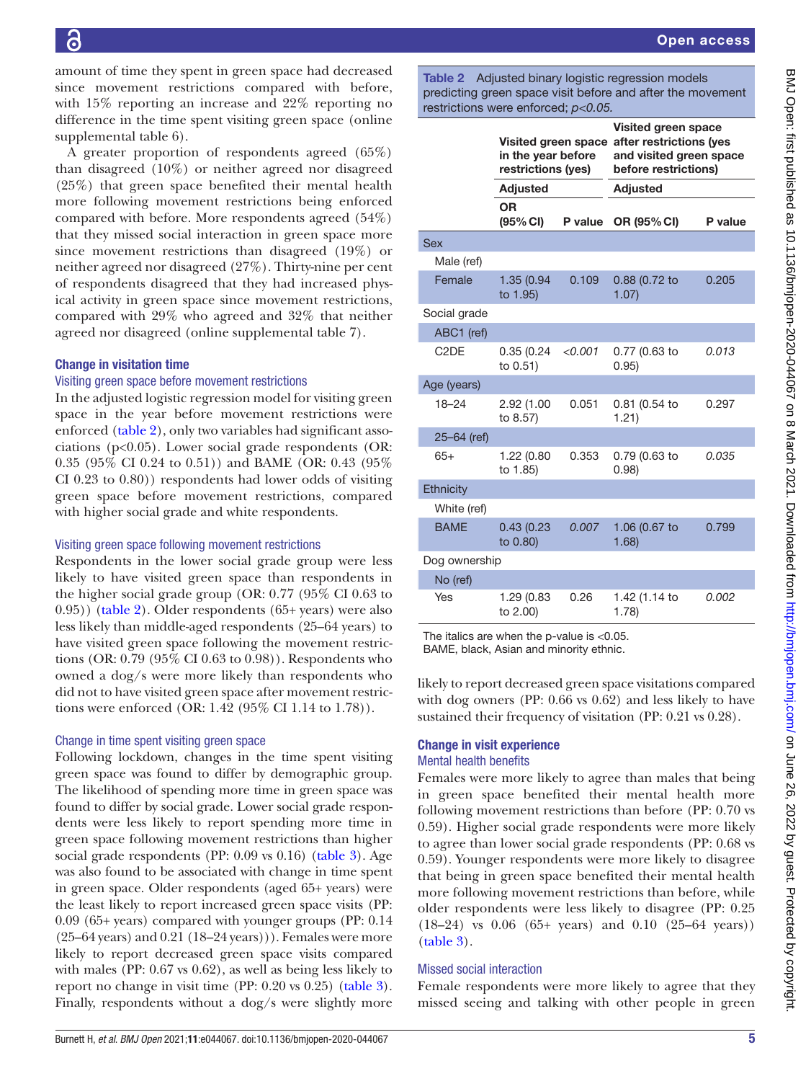Open access

difference in the time spent visiting green space [\(online](https://dx.doi.org/10.1136/bmjopen-2020-044067) [supplemental table 6](https://dx.doi.org/10.1136/bmjopen-2020-044067)). A greater proportion of respondents agreed (65%) than disagreed (10%) or neither agreed nor disagreed (25%) that green space benefited their mental health more following movement restrictions being enforced compared with before. More respondents agreed (54%) that they missed social interaction in green space more since movement restrictions than disagreed (19%) or neither agreed nor disagreed (27%). Thirty-nine per cent of respondents disagreed that they had increased physical activity in green space since movement restrictions, compared with 29% who agreed and 32% that neither agreed nor disagreed [\(online supplemental table 7\)](https://dx.doi.org/10.1136/bmjopen-2020-044067). Change in visitation time Visiting green space before movement restrictions In the adjusted logistic regression model for visiting green space in the year before movement restrictions were Sex Male (ref) Social grade ABC1 (ref) Age (years)

enforced [\(table](#page-4-0) 2), only two variables had significant associations (p<0.05). Lower social grade respondents (OR: 0.35 (95% CI 0.24 to 0.51)) and BAME (OR: 0.43 (95% CI 0.23 to 0.80)) respondents had lower odds of visiting green space before movement restrictions, compared with higher social grade and white respondents.

amount of time they spent in green space had decreased since movement restrictions compared with before, with 15% reporting an increase and 22% reporting no

# Visiting green space following movement restrictions

Respondents in the lower social grade group were less likely to have visited green space than respondents in the higher social grade group (OR: 0.77 (95% CI 0.63 to 0.95)) [\(table](#page-4-0) 2). Older respondents (65+ years) were also less likely than middle-aged respondents (25–64 years) to have visited green space following the movement restrictions (OR: 0.79 (95% CI 0.63 to 0.98)). Respondents who owned a dog/s were more likely than respondents who did not to have visited green space after movement restrictions were enforced (OR: 1.42 (95% CI 1.14 to 1.78)).

# Change in time spent visiting green space

Following lockdown, changes in the time spent visiting green space was found to differ by demographic group. The likelihood of spending more time in green space was found to differ by social grade. Lower social grade respondents were less likely to report spending more time in green space following movement restrictions than higher social grade respondents (PP: 0.09 vs 0.16) ([table](#page-5-0) 3). Age was also found to be associated with change in time spent in green space. Older respondents (aged 65+ years) were the least likely to report increased green space visits (PP: 0.09 (65+ years) compared with younger groups (PP: 0.14 (25–64 years) and 0.21 (18–24 years))). Females were more likely to report decreased green space visits compared with males (PP: 0.67 vs 0.62), as well as being less likely to report no change in visit time (PP: 0.20 vs 0.25) ([table](#page-5-0) 3). Finally, respondents without a dog/s were slightly more

<span id="page-4-0"></span>Table 2 Adjusted binary logistic regression models predicting green space visit before and after the movement restrictions were enforced; *p<0.05.*

|                               | in the year before<br>restrictions (yes) |         | Visited green space<br>Visited green space after restrictions (yes<br>and visited green space<br>before restrictions) |         |  |
|-------------------------------|------------------------------------------|---------|-----------------------------------------------------------------------------------------------------------------------|---------|--|
|                               | <b>Adjusted</b>                          |         | <b>Adjusted</b>                                                                                                       |         |  |
|                               | <b>OR</b><br>(95% CI)                    |         | P value OR (95% CI)                                                                                                   | P value |  |
| Sex                           |                                          |         |                                                                                                                       |         |  |
| Male (ref)                    |                                          |         |                                                                                                                       |         |  |
| Female                        | 1.35 (0.94<br>to 1.95)                   | 0.109   | 0.88 (0.72 to<br>1.07                                                                                                 | 0.205   |  |
| Social grade                  |                                          |         |                                                                                                                       |         |  |
| ABC1 (ref)                    |                                          |         |                                                                                                                       |         |  |
| C <sub>2</sub> D <sub>E</sub> | 0.35(0.24)<br>to 0.51)                   | < 0.001 | 0.77 (0.63 to<br>0.95)                                                                                                | 0.013   |  |
| Age (years)                   |                                          |         |                                                                                                                       |         |  |
| $18 - 24$                     | 2.92 (1.00<br>to 8.57)                   | 0.051   | 0.81 (0.54 to<br>1.21)                                                                                                | 0.297   |  |
| 25-64 (ref)                   |                                          |         |                                                                                                                       |         |  |
| $65+$                         | 1.22 (0.80<br>to 1.85)                   | 0.353   | 0.79 (0.63 to<br>0.98                                                                                                 | 0.035   |  |
| Ethnicity                     |                                          |         |                                                                                                                       |         |  |
| White (ref)                   |                                          |         |                                                                                                                       |         |  |
| <b>BAME</b>                   | 0.43(0.23)<br>to 0.80)                   | 0.007   | 1.06 (0.67 to<br>1.68                                                                                                 | 0.799   |  |
| Dog ownership                 |                                          |         |                                                                                                                       |         |  |
| No (ref)                      |                                          |         |                                                                                                                       |         |  |
| Yes                           | 1.29 (0.83<br>to 2.00)                   | 0.26    | 1.42 (1.14 to<br>1.78                                                                                                 | 0.002   |  |

The italics are when the p-value is <0.05. BAME, black, Asian and minority ethnic.

likely to report decreased green space visitations compared with dog owners (PP: 0.66 vs 0.62) and less likely to have sustained their frequency of visitation (PP: 0.21 vs 0.28).

# Change in visit experience

# Mental health benefits

Females were more likely to agree than males that being in green space benefited their mental health more following movement restrictions than before (PP: 0.70 vs 0.59). Higher social grade respondents were more likely to agree than lower social grade respondents (PP: 0.68 vs 0.59). Younger respondents were more likely to disagree that being in green space benefited their mental health more following movement restrictions than before, while older respondents were less likely to disagree (PP: 0.25 (18–24) vs 0.06 (65+ years) and 0.10 (25–64 years)) [\(table](#page-5-0) 3).

# Missed social interaction

Female respondents were more likely to agree that they missed seeing and talking with other people in green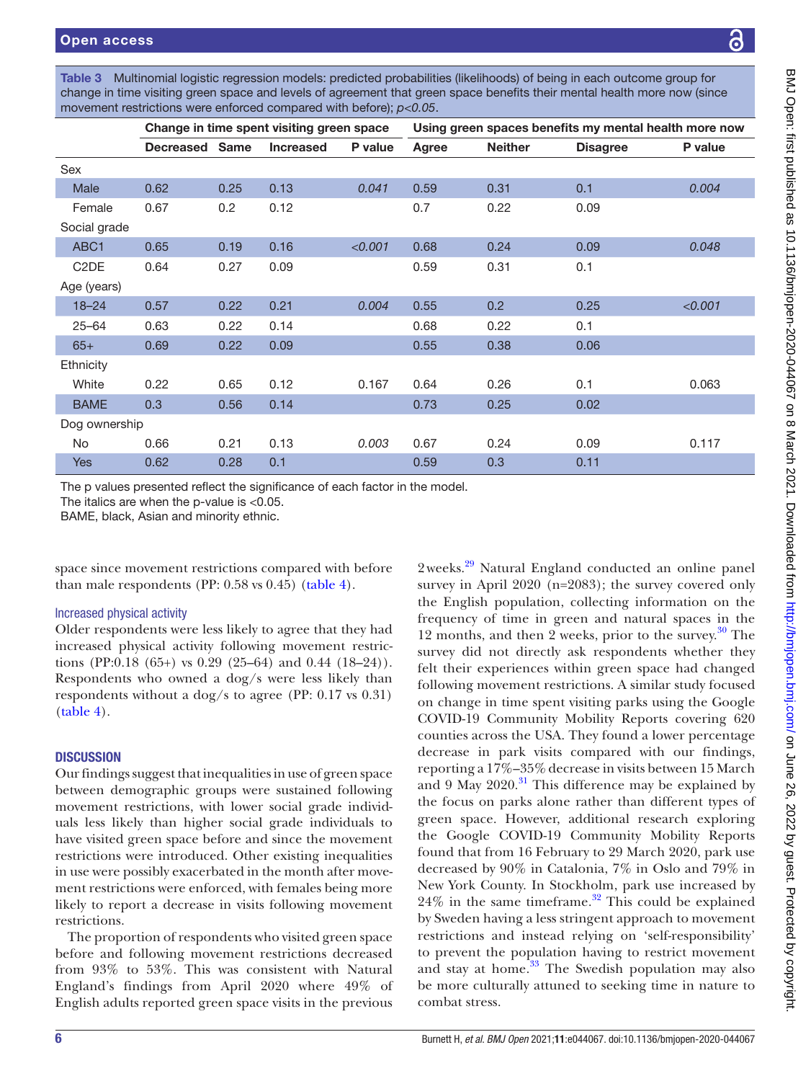<span id="page-5-0"></span>

| Multinomial logistic regression models: predicted probabilities (likelihoods) of being in each outcome group for<br>Table 3 |
|-----------------------------------------------------------------------------------------------------------------------------|
| change in time visiting green space and levels of agreement that green space benefits their mental health more now (since   |
| movement restrictions were enforced compared with before); $p < 0.05$ .                                                     |
|                                                                                                                             |

|                               | Change in time spent visiting green space |             |                  |         | Using green spaces benefits my mental health more now |                |                 |         |
|-------------------------------|-------------------------------------------|-------------|------------------|---------|-------------------------------------------------------|----------------|-----------------|---------|
|                               | <b>Decreased</b>                          | <b>Same</b> | <b>Increased</b> | P value | Agree                                                 | <b>Neither</b> | <b>Disagree</b> | P value |
| Sex                           |                                           |             |                  |         |                                                       |                |                 |         |
| Male                          | 0.62                                      | 0.25        | 0.13             | 0.041   | 0.59                                                  | 0.31           | 0.1             | 0.004   |
| Female                        | 0.67                                      | 0.2         | 0.12             |         | 0.7                                                   | 0.22           | 0.09            |         |
| Social grade                  |                                           |             |                  |         |                                                       |                |                 |         |
| ABC1                          | 0.65                                      | 0.19        | 0.16             | < 0.001 | 0.68                                                  | 0.24           | 0.09            | 0.048   |
| C <sub>2</sub> D <sub>E</sub> | 0.64                                      | 0.27        | 0.09             |         | 0.59                                                  | 0.31           | 0.1             |         |
| Age (years)                   |                                           |             |                  |         |                                                       |                |                 |         |
| $18 - 24$                     | 0.57                                      | 0.22        | 0.21             | 0.004   | 0.55                                                  | 0.2            | 0.25            | < 0.001 |
| $25 - 64$                     | 0.63                                      | 0.22        | 0.14             |         | 0.68                                                  | 0.22           | 0.1             |         |
| $65+$                         | 0.69                                      | 0.22        | 0.09             |         | 0.55                                                  | 0.38           | 0.06            |         |
| Ethnicity                     |                                           |             |                  |         |                                                       |                |                 |         |
| White                         | 0.22                                      | 0.65        | 0.12             | 0.167   | 0.64                                                  | 0.26           | 0.1             | 0.063   |
| <b>BAME</b>                   | 0.3                                       | 0.56        | 0.14             |         | 0.73                                                  | 0.25           | 0.02            |         |
| Dog ownership                 |                                           |             |                  |         |                                                       |                |                 |         |
| No                            | 0.66                                      | 0.21        | 0.13             | 0.003   | 0.67                                                  | 0.24           | 0.09            | 0.117   |
| <b>Yes</b>                    | 0.62                                      | 0.28        | 0.1              |         | 0.59                                                  | 0.3            | 0.11            |         |

The p values presented reflect the significance of each factor in the model.

The italics are when the p-value is <0.05.

BAME, black, Asian and minority ethnic.

space since movement restrictions compared with before than male respondents (PP: 0.58 vs 0.45) [\(table](#page-6-0) 4).

## Increased physical activity

Older respondents were less likely to agree that they had increased physical activity following movement restrictions (PP:0.18 (65+) vs 0.29 (25–64) and 0.44 (18–24)). Respondents who owned a dog/s were less likely than respondents without a dog/s to agree (PP: 0.17 vs 0.31) ([table](#page-6-0) 4).

## **DISCUSSION**

Our findings suggest that inequalities in use of green space between demographic groups were sustained following movement restrictions, with lower social grade individuals less likely than higher social grade individuals to have visited green space before and since the movement restrictions were introduced. Other existing inequalities in use were possibly exacerbated in the month after movement restrictions were enforced, with females being more likely to report a decrease in visits following movement restrictions.

The proportion of respondents who visited green space before and following movement restrictions decreased from 93% to 53%. This was consistent with Natural England's findings from April 2020 where 49% of English adults reported green space visits in the previous

2weeks.<sup>[29](#page-8-19)</sup> Natural England conducted an online panel survey in April 2020 (n=2083); the survey covered only the English population, collecting information on the frequency of time in green and natural spaces in the 12 months, and then 2 weeks, prior to the survey. $30$  The survey did not directly ask respondents whether they felt their experiences within green space had changed following movement restrictions. A similar study focused on change in time spent visiting parks using the Google COVID-19 Community Mobility Reports covering 620 counties across the USA. They found a lower percentage decrease in park visits compared with our findings, reporting a 17%–35%decrease in visits between 15 March and 9 May  $2020$ .<sup>31</sup> This difference may be explained by the focus on parks alone rather than different types of green space. However, additional research exploring the Google COVID-19 Community Mobility Reports found that from 16 February to 29 March 2020, park use decreased by 90% in Catalonia, 7% in Oslo and 79% in New York County. In Stockholm, park use increased by  $24\%$  in the same timeframe.<sup>32</sup> This could be explained by Sweden having a less stringent approach to movement restrictions and instead relying on 'self-responsibility' to prevent the population having to restrict movement and stay at home.<sup>[33](#page-8-23)</sup> The Swedish population may also be more culturally attuned to seeking time in nature to combat stress.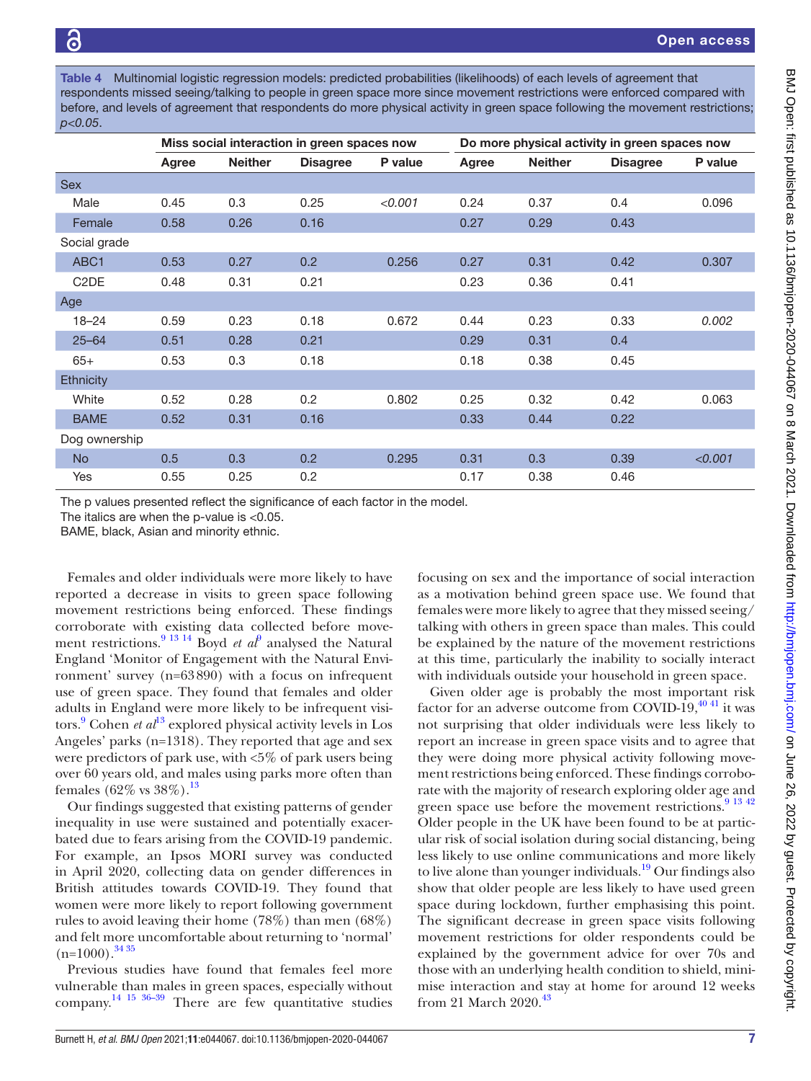<span id="page-6-0"></span>Table 4 Multinomial logistic regression models: predicted probabilities (likelihoods) of each levels of agreement that respondents missed seeing/talking to people in green space more since movement restrictions were enforced compared with before, and levels of agreement that respondents do more physical activity in green space following the movement restrictions; *p<0.05*.

|                               | Miss social interaction in green spaces now |                |                 |         | Do more physical activity in green spaces now |                |                 |         |
|-------------------------------|---------------------------------------------|----------------|-----------------|---------|-----------------------------------------------|----------------|-----------------|---------|
|                               | Agree                                       | <b>Neither</b> | <b>Disagree</b> | P value | Agree                                         | <b>Neither</b> | <b>Disagree</b> | P value |
| <b>Sex</b>                    |                                             |                |                 |         |                                               |                |                 |         |
| Male                          | 0.45                                        | 0.3            | 0.25            | < 0.001 | 0.24                                          | 0.37           | 0.4             | 0.096   |
| Female                        | 0.58                                        | 0.26           | 0.16            |         | 0.27                                          | 0.29           | 0.43            |         |
| Social grade                  |                                             |                |                 |         |                                               |                |                 |         |
| ABC1                          | 0.53                                        | 0.27           | 0.2             | 0.256   | 0.27                                          | 0.31           | 0.42            | 0.307   |
| C <sub>2</sub> D <sub>E</sub> | 0.48                                        | 0.31           | 0.21            |         | 0.23                                          | 0.36           | 0.41            |         |
| Age                           |                                             |                |                 |         |                                               |                |                 |         |
| $18 - 24$                     | 0.59                                        | 0.23           | 0.18            | 0.672   | 0.44                                          | 0.23           | 0.33            | 0.002   |
| $25 - 64$                     | 0.51                                        | 0.28           | 0.21            |         | 0.29                                          | 0.31           | 0.4             |         |
| $65+$                         | 0.53                                        | 0.3            | 0.18            |         | 0.18                                          | 0.38           | 0.45            |         |
| <b>Ethnicity</b>              |                                             |                |                 |         |                                               |                |                 |         |
| White                         | 0.52                                        | 0.28           | 0.2             | 0.802   | 0.25                                          | 0.32           | 0.42            | 0.063   |
| <b>BAME</b>                   | 0.52                                        | 0.31           | 0.16            |         | 0.33                                          | 0.44           | 0.22            |         |
| Dog ownership                 |                                             |                |                 |         |                                               |                |                 |         |
| <b>No</b>                     | 0.5                                         | 0.3            | 0.2             | 0.295   | 0.31                                          | 0.3            | 0.39            | < 0.001 |
| Yes                           | 0.55                                        | 0.25           | 0.2             |         | 0.17                                          | 0.38           | 0.46            |         |

The p values presented reflect the significance of each factor in the model.

The italics are when the p-value is  $<$  0.05.

BAME, black, Asian and minority ethnic.

Females and older individuals were more likely to have reported a decrease in visits to green space following movement restrictions being enforced. These findings corroborate with existing data collected before move-ment restrictions.<sup>[9](#page-8-5) 13 14</sup> Boyd *et al*<sup>9</sup> analysed the Natural England 'Monitor of Engagement with the Natural Environment' survey (n=63890) with a focus on infrequent use of green space. They found that females and older adults in England were more likely to be infrequent visitors.<sup>9</sup> Cohen *et al*<sup>[13](#page-8-24)</sup> explored physical activity levels in Los Angeles' parks (n=1318). They reported that age and sex were predictors of park use, with <5% of park users being over 60 years old, and males using parks more often than females  $(62\% \text{ vs } 38\%).^{13}$ 

Our findings suggested that existing patterns of gender inequality in use were sustained and potentially exacerbated due to fears arising from the COVID-19 pandemic. For example, an Ipsos MORI survey was conducted in April 2020, collecting data on gender differences in British attitudes towards COVID-19. They found that women were more likely to report following government rules to avoid leaving their home (78%) than men (68%) and felt more uncomfortable about returning to 'normal'  $(n=1000).$ <sup>[34 35](#page-8-25)</sup>

Previous studies have found that females feel more vulnerable than males in green spaces, especially without company. [14 15 36–39](#page-8-26) There are few quantitative studies focusing on sex and the importance of social interaction as a motivation behind green space use. We found that females were more likely to agree that they missed seeing/ talking with others in green space than males. This could be explained by the nature of the movement restrictions at this time, particularly the inability to socially interact with individuals outside your household in green space.

Given older age is probably the most important risk factor for an adverse outcome from COVID-19, $^{40}$  <sup>41</sup> it was not surprising that older individuals were less likely to report an increase in green space visits and to agree that they were doing more physical activity following movement restrictions being enforced. These findings corroborate with the majority of research exploring older age and green space use before the movement restrictions.<sup>9</sup> <sup>13 42</sup> Older people in the UK have been found to be at particular risk of social isolation during social distancing, being less likely to use online communications and more likely to live alone than younger individuals.<sup>[19](#page-8-9)</sup> Our findings also show that older people are less likely to have used green space during lockdown, further emphasising this point. The significant decrease in green space visits following movement restrictions for older respondents could be explained by the government advice for over 70s and those with an underlying health condition to shield, minimise interaction and stay at home for around 12 weeks from 21 March 2020.<sup>[43](#page-9-1)</sup>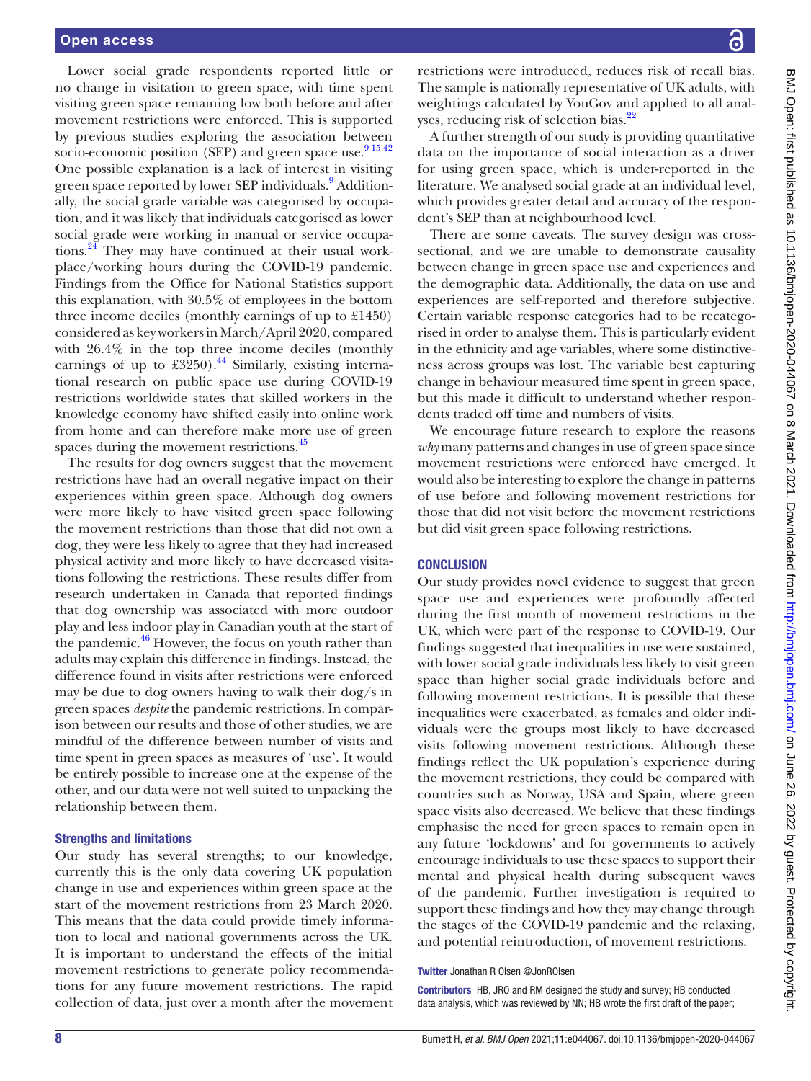Lower social grade respondents reported little or no change in visitation to green space, with time spent visiting green space remaining low both before and after movement restrictions were enforced. This is supported by previous studies exploring the association between socio-economic position (SEP) and green space use. $91542$ One possible explanation is a lack of interest in visiting green space reported by lower SEP individuals.<sup>[9](#page-8-5)</sup> Additionally, the social grade variable was categorised by occupation, and it was likely that individuals categorised as lower social grade were working in manual or service occupations. $24$  They may have continued at their usual workplace/working hours during the COVID-19 pandemic. Findings from the Office for National Statistics support this explanation, with 30.5% of employees in the bottom three income deciles (monthly earnings of up to £1450) considered as key workers in March/April 2020, compared with 26.4% in the top three income deciles (monthly earnings of up to  $\text{\pounds}3250$ .<sup>44</sup> Similarly, existing international research on public space use during COVID-19 restrictions worldwide states that skilled workers in the knowledge economy have shifted easily into online work from home and can therefore make more use of green spaces during the movement restrictions.<sup>[45](#page-9-3)</sup>

The results for dog owners suggest that the movement restrictions have had an overall negative impact on their experiences within green space. Although dog owners were more likely to have visited green space following the movement restrictions than those that did not own a dog, they were less likely to agree that they had increased physical activity and more likely to have decreased visitations following the restrictions. These results differ from research undertaken in Canada that reported findings that dog ownership was associated with more outdoor play and less indoor play in Canadian youth at the start of the pandemic. $46$  However, the focus on youth rather than adults may explain this difference in findings. Instead, the difference found in visits after restrictions were enforced may be due to dog owners having to walk their dog/s in green spaces *despite* the pandemic restrictions. In comparison between our results and those of other studies, we are mindful of the difference between number of visits and time spent in green spaces as measures of 'use'. It would be entirely possible to increase one at the expense of the other, and our data were not well suited to unpacking the relationship between them.

#### Strengths and limitations

Our study has several strengths; to our knowledge, currently this is the only data covering UK population change in use and experiences within green space at the start of the movement restrictions from 23 March 2020. This means that the data could provide timely information to local and national governments across the UK. It is important to understand the effects of the initial movement restrictions to generate policy recommendations for any future movement restrictions. The rapid collection of data, just over a month after the movement

restrictions were introduced, reduces risk of recall bias. The sample is nationally representative of UK adults, with weightings calculated by YouGov and applied to all analyses, reducing risk of selection bias.<sup>22</sup>

A further strength of our study is providing quantitative data on the importance of social interaction as a driver for using green space, which is under-reported in the literature. We analysed social grade at an individual level, which provides greater detail and accuracy of the respondent's SEP than at neighbourhood level.

There are some caveats. The survey design was crosssectional, and we are unable to demonstrate causality between change in green space use and experiences and the demographic data. Additionally, the data on use and experiences are self-reported and therefore subjective. Certain variable response categories had to be recategorised in order to analyse them. This is particularly evident in the ethnicity and age variables, where some distinctiveness across groups was lost. The variable best capturing change in behaviour measured time spent in green space, but this made it difficult to understand whether respondents traded off time and numbers of visits.

We encourage future research to explore the reasons *why* many patterns and changes in use of green space since movement restrictions were enforced have emerged. It would also be interesting to explore the change in patterns of use before and following movement restrictions for those that did not visit before the movement restrictions but did visit green space following restrictions.

## **CONCLUSION**

Our study provides novel evidence to suggest that green space use and experiences were profoundly affected during the first month of movement restrictions in the UK, which were part of the response to COVID-19. Our findings suggested that inequalities in use were sustained, with lower social grade individuals less likely to visit green space than higher social grade individuals before and following movement restrictions. It is possible that these inequalities were exacerbated, as females and older individuals were the groups most likely to have decreased visits following movement restrictions. Although these findings reflect the UK population's experience during the movement restrictions, they could be compared with countries such as Norway, USA and Spain, where green space visits also decreased. We believe that these findings emphasise the need for green spaces to remain open in any future 'lockdowns' and for governments to actively encourage individuals to use these spaces to support their mental and physical health during subsequent waves of the pandemic. Further investigation is required to support these findings and how they may change through the stages of the COVID-19 pandemic and the relaxing, and potential reintroduction, of movement restrictions.

#### Twitter Jonathan R Olsen [@JonROlsen](https://twitter.com/JonROlsen)

Contributors HB, JRO and RM designed the study and survey; HB conducted data analysis, which was reviewed by NN; HB wrote the first draft of the paper;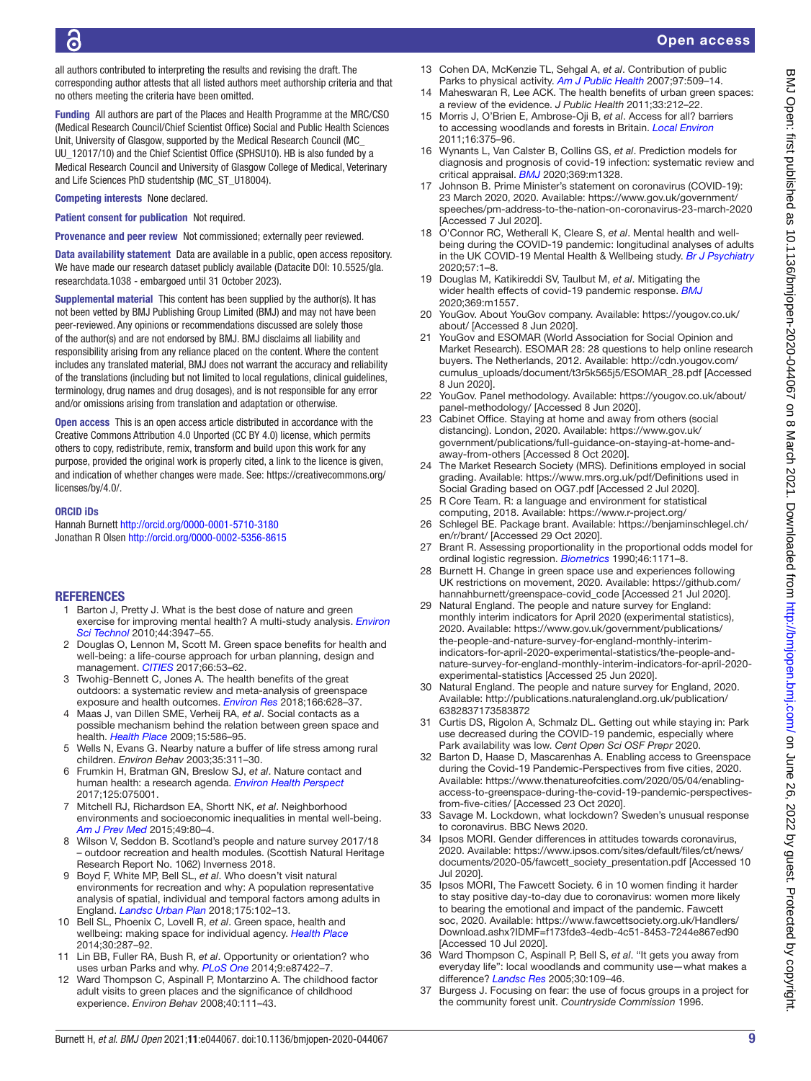all authors contributed to interpreting the results and revising the draft. The corresponding author attests that all listed authors meet authorship criteria and that no others meeting the criteria have been omitted.

Funding All authors are part of the Places and Health Programme at the MRC/CSO (Medical Research Council/Chief Scientist Office) Social and Public Health Sciences Unit, University of Glasgow, supported by the Medical Research Council (MC\_ UU\_12017/10) and the Chief Scientist Office (SPHSU10). HB is also funded by a Medical Research Council and University of Glasgow College of Medical, Veterinary and Life Sciences PhD studentship (MC\_ST\_U18004).

Competing interests None declared.

Patient consent for publication Not required.

Provenance and peer review Not commissioned; externally peer reviewed.

Data availability statement Data are available in a public, open access repository. We have made our research dataset publicly available (Datacite DOI: 10.5525/qla. researchdata.1038 - embargoed until 31 October 2023).

Supplemental material This content has been supplied by the author(s). It has not been vetted by BMJ Publishing Group Limited (BMJ) and may not have been peer-reviewed. Any opinions or recommendations discussed are solely those of the author(s) and are not endorsed by BMJ. BMJ disclaims all liability and responsibility arising from any reliance placed on the content. Where the content includes any translated material, BMJ does not warrant the accuracy and reliability of the translations (including but not limited to local regulations, clinical guidelines, terminology, drug names and drug dosages), and is not responsible for any error and/or omissions arising from translation and adaptation or otherwise.

Open access This is an open access article distributed in accordance with the Creative Commons Attribution 4.0 Unported (CC BY 4.0) license, which permits others to copy, redistribute, remix, transform and build upon this work for any purpose, provided the original work is properly cited, a link to the licence is given, and indication of whether changes were made. See: [https://creativecommons.org/](https://creativecommons.org/licenses/by/4.0/) [licenses/by/4.0/.](https://creativecommons.org/licenses/by/4.0/)

#### ORCID iDs

Hannah Burnett<http://orcid.org/0000-0001-5710-3180> Jonathan R Olsen<http://orcid.org/0000-0002-5356-8615>

## **REFERENCES**

- <span id="page-8-0"></span>1 Barton J, Pretty J. What is the best dose of nature and green exercise for improving mental health? A multi-study analysis. *[Environ](http://dx.doi.org/10.1021/es903183r)  [Sci Technol](http://dx.doi.org/10.1021/es903183r)* 2010;44:3947–55.
- 2 Douglas O, Lennon M, Scott M. Green space benefits for health and well-being: a life-course approach for urban planning, design and management. *[CITIES](http://dx.doi.org/10.1016/j.cities.2017.03.011)* 2017;66:53–62.
- <span id="page-8-1"></span>3 Twohig-Bennett C, Jones A. The health benefits of the great outdoors: a systematic review and meta-analysis of greenspace exposure and health outcomes. *[Environ Res](http://dx.doi.org/10.1016/j.envres.2018.06.030)* 2018;166:628–37.
- 4 Maas J, van Dillen SME, Verheij RA, *et al*. Social contacts as a possible mechanism behind the relation between green space and health. *[Health Place](http://dx.doi.org/10.1016/j.healthplace.2008.09.006)* 2009;15:586–95.
- 5 Wells N, Evans G. Nearby nature a buffer of life stress among rural children. *Environ Behav* 2003;35:311–30.
- <span id="page-8-2"></span>6 Frumkin H, Bratman GN, Breslow SJ, *et al*. Nature contact and human health: a research agenda. *[Environ Health Perspect](http://dx.doi.org/10.1289/EHP1663)* 2017;125:075001.
- 7 Mitchell RJ, Richardson EA, Shortt NK, *et al*. Neighborhood environments and socioeconomic inequalities in mental well-being. *[Am J Prev Med](http://dx.doi.org/10.1016/j.amepre.2015.01.017)* 2015;49:80–4.
- <span id="page-8-3"></span>8 Wilson V, Seddon B. Scotland's people and nature survey 2017/18 – outdoor recreation and health modules. (Scottish Natural Heritage Research Report No. 1062) Inverness 2018.
- <span id="page-8-5"></span>9 Boyd F, White MP, Bell SL, *et al*. Who doesn't visit natural environments for recreation and why: A population representative analysis of spatial, individual and temporal factors among adults in England. *[Landsc Urban Plan](http://dx.doi.org/10.1016/j.landurbplan.2018.03.016)* 2018;175:102–13.
- <span id="page-8-4"></span>10 Bell SL, Phoenix C, Lovell R, *et al*. Green space, health and wellbeing: making space for individual agency. *[Health Place](http://dx.doi.org/10.1016/j.healthplace.2014.10.005)* 2014;30:287–92.
- 11 Lin BB, Fuller RA, Bush R, *et al*. Opportunity or orientation? who uses urban Parks and why. *[PLoS One](http://dx.doi.org/10.1371/journal.pone.0087422)* 2014;9:e87422–7.
- 12 Ward Thompson C, Aspinall P, Montarzino A. The childhood factor adult visits to green places and the significance of childhood experience. *Environ Behav* 2008;40:111–43.
- <span id="page-8-24"></span>13 Cohen DA, McKenzie TL, Sehgal A, *et al*. Contribution of public Parks to physical activity. *[Am J Public Health](http://dx.doi.org/10.2105/AJPH.2005.072447)* 2007;97:509–14.
- <span id="page-8-26"></span>14 Maheswaran R, Lee ACK. The health benefits of urban green spaces: a review of the evidence. *J Public Health* 2011;33:212–22.
- 15 Morris J, O'Brien E, Ambrose-Oji B, *et al*. Access for all? barriers to accessing woodlands and forests in Britain. *[Local Environ](http://dx.doi.org/10.1080/13549839.2011.576662)* 2011;16:375–96.
- <span id="page-8-6"></span>16 Wynants L, Van Calster B, Collins GS, *et al*. Prediction models for diagnosis and prognosis of covid-19 infection: systematic review and critical appraisal. *[BMJ](http://dx.doi.org/10.1136/bmj.m1328)* 2020;369:m1328.
- <span id="page-8-7"></span>17 Johnson B. Prime Minister's statement on coronavirus (COVID-19): 23 March 2020, 2020. Available: [https://www.gov.uk/government/](https://www.gov.uk/government/speeches/pm-address-to-the-nation-on-coronavirus-23-march-2020) [speeches/pm-address-to-the-nation-on-coronavirus-23-march-2020](https://www.gov.uk/government/speeches/pm-address-to-the-nation-on-coronavirus-23-march-2020)  [Accessed 7 Jul 2020].
- <span id="page-8-8"></span>18 O'Connor RC, Wetherall K, Cleare S, *et al*. Mental health and wellbeing during the COVID-19 pandemic: longitudinal analyses of adults in the UK COVID-19 Mental Health & Wellbeing study. *[Br J Psychiatry](http://dx.doi.org/10.1192/bjp.2020.212)* 2020;57:1–8.
- <span id="page-8-9"></span>19 Douglas M, Katikireddi SV, Taulbut M, *et al*. Mitigating the wider health effects of covid-19 pandemic response. *[BMJ](http://dx.doi.org/10.1136/bmj.m1557)* 2020;369:m1557.
- <span id="page-8-10"></span>20 YouGov. About YouGov company. Available: [https://yougov.co.uk/](https://yougov.co.uk/about/) [about/](https://yougov.co.uk/about/) [Accessed 8 Jun 2020].
- <span id="page-8-11"></span>21 YouGov and ESOMAR (World Association for Social Opinion and Market Research). ESOMAR 28: 28 questions to help online research buyers. The Netherlands, 2012. Available: [http://cdn.yougov.com/](http://cdn.yougov.com/cumulus_uploads/document/t3r5k565j5/ESOMAR_28.pdf) [cumulus\\_uploads/document/t3r5k565j5/ESOMAR\\_28.pdf](http://cdn.yougov.com/cumulus_uploads/document/t3r5k565j5/ESOMAR_28.pdf) [Accessed 8 Jun 2020].
- <span id="page-8-14"></span>22 YouGov. Panel methodology. Available: [https://yougov.co.uk/about/](https://yougov.co.uk/about/panel-methodology/) [panel-methodology/](https://yougov.co.uk/about/panel-methodology/) [Accessed 8 Jun 2020].
- <span id="page-8-12"></span>23 Cabinet Office. Staying at home and away from others (social distancing). London, 2020. Available: [https://www.gov.uk/](https://www.gov.uk/government/publications/full-guidance-on-staying-at-home-and-away-from-others) [government/publications/full-guidance-on-staying-at-home-and](https://www.gov.uk/government/publications/full-guidance-on-staying-at-home-and-away-from-others)[away-from-others](https://www.gov.uk/government/publications/full-guidance-on-staying-at-home-and-away-from-others) [Accessed 8 Oct 2020].
- <span id="page-8-13"></span>24 The Market Research Society (MRS). Definitions employed in social grading. Available: [https://www.mrs.org.uk/pdf/Definitions used in](https://www.mrs.org.uk/pdf/Definitions%20used%20in%20Social%20Grading%20based%20on%20OG7.pdf)  [Social Grading based on OG7.pdf](https://www.mrs.org.uk/pdf/Definitions%20used%20in%20Social%20Grading%20based%20on%20OG7.pdf) [Accessed 2 Jul 2020].
- <span id="page-8-15"></span>25 R Core Team. R: a language and environment for statistical computing, 2018. Available: <https://www.r-project.org/>
- <span id="page-8-16"></span>26 Schlegel BE. Package brant. Available: [https://benjaminschlegel.ch/](https://benjaminschlegel.ch/en/r/brant/) [en/r/brant/](https://benjaminschlegel.ch/en/r/brant/) [Accessed 29 Oct 2020].
- <span id="page-8-17"></span>27 Brant R. Assessing proportionality in the proportional odds model for ordinal logistic regression. *[Biometrics](http://dx.doi.org/10.2307/2532457)* 1990;46:1171–8.
- <span id="page-8-18"></span>28 Burnett H. Change in green space use and experiences following UK restrictions on movement, 2020. Available: [https://github.com/](https://github.com/hannahburnett/greenspace-covid_code) [hannahburnett/greenspace-covid\\_code](https://github.com/hannahburnett/greenspace-covid_code) [Accessed 21 Jul 2020].
- <span id="page-8-19"></span>29 Natural England. The people and nature survey for England: monthly interim indicators for April 2020 (experimental statistics), 2020. Available: [https://www.gov.uk/government/publications/](https://www.gov.uk/government/publications/the-people-and-nature-survey-for-england-monthly-interim-indicators-for-april-2020-experimental-statistics/the-people-and-nature-survey-for-england-monthly-interim-indicators-for-april-2020-experimental-statistics) [the-people-and-nature-survey-for-england-monthly-interim](https://www.gov.uk/government/publications/the-people-and-nature-survey-for-england-monthly-interim-indicators-for-april-2020-experimental-statistics/the-people-and-nature-survey-for-england-monthly-interim-indicators-for-april-2020-experimental-statistics)[indicators-for-april-2020-experimental-statistics/the-people-and](https://www.gov.uk/government/publications/the-people-and-nature-survey-for-england-monthly-interim-indicators-for-april-2020-experimental-statistics/the-people-and-nature-survey-for-england-monthly-interim-indicators-for-april-2020-experimental-statistics)[nature-survey-for-england-monthly-interim-indicators-for-april-2020](https://www.gov.uk/government/publications/the-people-and-nature-survey-for-england-monthly-interim-indicators-for-april-2020-experimental-statistics/the-people-and-nature-survey-for-england-monthly-interim-indicators-for-april-2020-experimental-statistics) [experimental-statistics](https://www.gov.uk/government/publications/the-people-and-nature-survey-for-england-monthly-interim-indicators-for-april-2020-experimental-statistics/the-people-and-nature-survey-for-england-monthly-interim-indicators-for-april-2020-experimental-statistics) [Accessed 25 Jun 2020].
- <span id="page-8-20"></span>30 Natural England. The people and nature survey for England, 2020. Available: [http://publications.naturalengland.org.uk/publication/](http://publications.naturalengland.org.uk/publication/6382837173583872) [6382837173583872](http://publications.naturalengland.org.uk/publication/6382837173583872)
- <span id="page-8-21"></span>31 Curtis DS, Rigolon A, Schmalz DL. Getting out while staying in: Park use decreased during the COVID-19 pandemic, especially where Park availability was low. *Cent Open Sci OSF Prepr* 2020.
- <span id="page-8-22"></span>32 Barton D, Haase D, Mascarenhas A. Enabling access to Greenspace during the Covid-19 Pandemic-Perspectives from five cities, 2020. Available: [https://www.thenatureofcities.com/2020/05/04/enabling](https://www.thenatureofcities.com/2020/05/04/enabling-access-to-greenspace-during-the-covid-19-pandemic-perspectives-from-five-cities/)[access-to-greenspace-during-the-covid-19-pandemic-perspectives](https://www.thenatureofcities.com/2020/05/04/enabling-access-to-greenspace-during-the-covid-19-pandemic-perspectives-from-five-cities/)[from-five-cities/](https://www.thenatureofcities.com/2020/05/04/enabling-access-to-greenspace-during-the-covid-19-pandemic-perspectives-from-five-cities/) [Accessed 23 Oct 2020].
- <span id="page-8-23"></span>33 Savage M. Lockdown, what lockdown? Sweden's unusual response to coronavirus. BBC News 2020.
- <span id="page-8-25"></span>34 Ipsos MORI. Gender differences in attitudes towards coronavirus, 2020. Available: [https://www.ipsos.com/sites/default/files/ct/news/](https://www.ipsos.com/sites/default/files/ct/news/documents/2020-05/fawcett_society_presentation.pdf) [documents/2020-05/fawcett\\_society\\_presentation.pdf](https://www.ipsos.com/sites/default/files/ct/news/documents/2020-05/fawcett_society_presentation.pdf) [Accessed 10 Jul 2020].
- 35 Ipsos MORI, The Fawcett Society. 6 in 10 women finding it harder to stay positive day-to-day due to coronavirus: women more likely to bearing the emotional and impact of the pandemic. Fawcett soc, 2020. Available: [https://www.fawcettsociety.org.uk/Handlers/](https://www.fawcettsociety.org.uk/Handlers/Download.ashx?IDMF=f173fde3-4edb-4c51-8453-7244e867ed90) [Download.ashx?IDMF=f173fde3-4edb-4c51-8453-7244e867ed90](https://www.fawcettsociety.org.uk/Handlers/Download.ashx?IDMF=f173fde3-4edb-4c51-8453-7244e867ed90)  [Accessed 10 Jul 2020].
- 36 Ward Thompson C, Aspinall P, Bell S, *et al*. "It gets you away from everyday life": local woodlands and community use—what makes a difference? *[Landsc Res](http://dx.doi.org/10.1080/0142639042000324794)* 2005;30:109–46.
- Burgess J. Focusing on fear: the use of focus groups in a project for the community forest unit. *Countryside Commission* 1996.